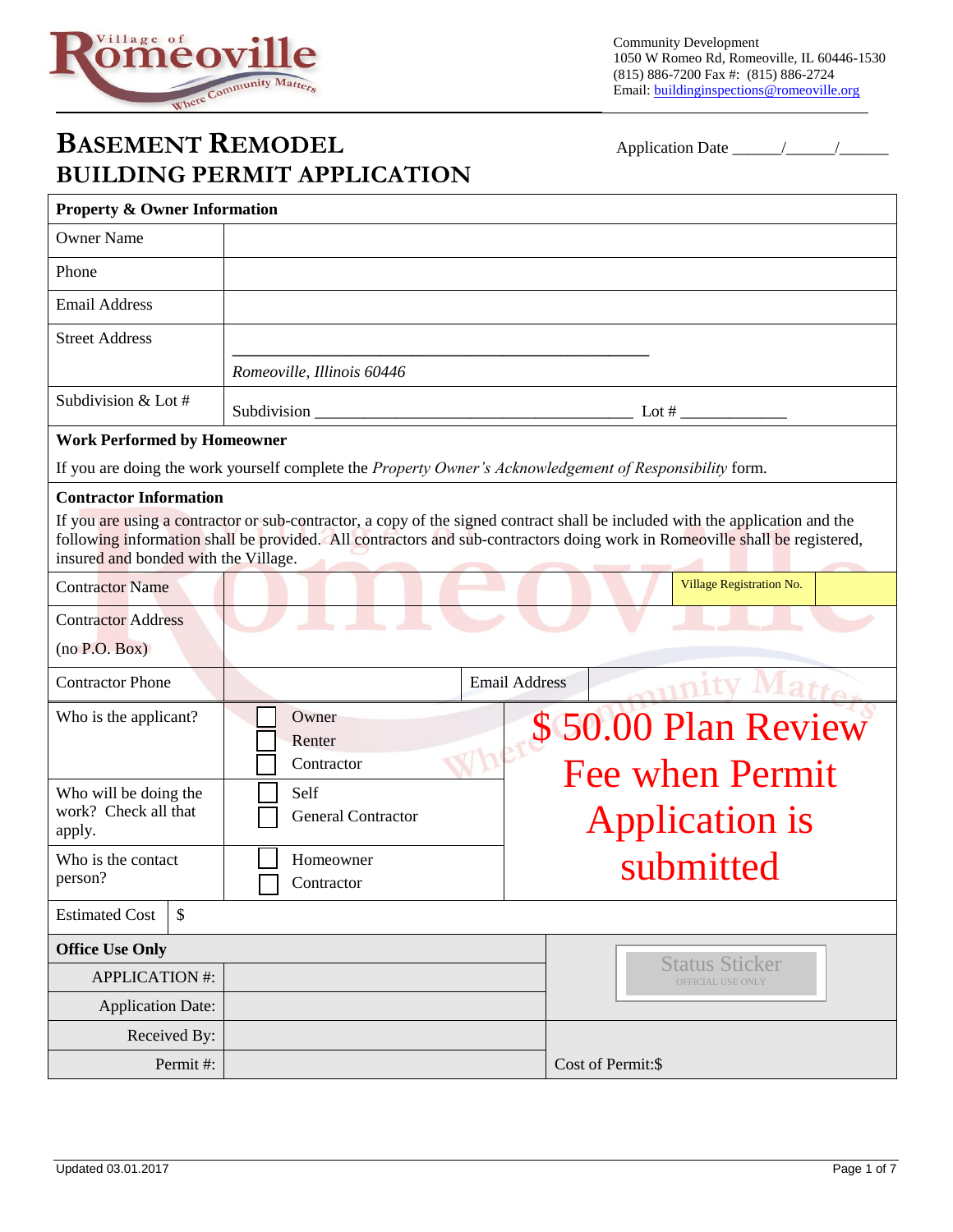

## **BASEMENT REMODEL** Application Date \_\_\_\_\_\_/\_\_\_\_\_\_/\_\_\_\_\_\_ **BUILDING PERMIT APPLICATION**

| DUILDINU I ENMIT AI LEIUATIUN                                         |                            |                                                                                                                                                                                                                                                             |  |
|-----------------------------------------------------------------------|----------------------------|-------------------------------------------------------------------------------------------------------------------------------------------------------------------------------------------------------------------------------------------------------------|--|
| <b>Property &amp; Owner Information</b>                               |                            |                                                                                                                                                                                                                                                             |  |
| <b>Owner Name</b>                                                     |                            |                                                                                                                                                                                                                                                             |  |
| Phone                                                                 |                            |                                                                                                                                                                                                                                                             |  |
| <b>Email Address</b>                                                  |                            |                                                                                                                                                                                                                                                             |  |
| <b>Street Address</b>                                                 |                            |                                                                                                                                                                                                                                                             |  |
|                                                                       | Romeoville, Illinois 60446 |                                                                                                                                                                                                                                                             |  |
| Subdivision & Lot #                                                   |                            | Lot $#$                                                                                                                                                                                                                                                     |  |
| <b>Work Performed by Homeowner</b>                                    |                            |                                                                                                                                                                                                                                                             |  |
|                                                                       |                            | If you are doing the work yourself complete the Property Owner's Acknowledgement of Responsibility form.                                                                                                                                                    |  |
| <b>Contractor Information</b><br>insured and bonded with the Village. |                            | If you are using a contractor or sub-contractor, a copy of the signed contract shall be included with the application and the<br>following information shall be provided. All contractors and sub-contractors doing work in Romeoville shall be registered, |  |
| <b>Contractor Name</b>                                                |                            | Village Registration No.                                                                                                                                                                                                                                    |  |
| <b>Contractor Address</b>                                             |                            |                                                                                                                                                                                                                                                             |  |
| (no P.O. Box)                                                         |                            |                                                                                                                                                                                                                                                             |  |
| <b>Contractor Phone</b>                                               |                            | <b>Email Address</b>                                                                                                                                                                                                                                        |  |
| Who is the applicant?                                                 | Owner<br>Renter            | \$50.00 Plan Review                                                                                                                                                                                                                                         |  |
| Who will be doing the                                                 | Contractor<br>Self         | <b>Fee when Permit</b>                                                                                                                                                                                                                                      |  |
| work? Check all that<br>apply.                                        | <b>General Contractor</b>  | <b>Application is</b>                                                                                                                                                                                                                                       |  |
| Who is the contact<br>person?                                         | Homeowner<br>Contractor    | submitted                                                                                                                                                                                                                                                   |  |
| \$<br><b>Estimated Cost</b>                                           |                            |                                                                                                                                                                                                                                                             |  |
| <b>Office Use Only</b>                                                |                            |                                                                                                                                                                                                                                                             |  |
| <b>APPLICATION #:</b>                                                 |                            | <b>Status Sticker</b><br>OFFICIAL USE ONLY                                                                                                                                                                                                                  |  |
| <b>Application Date:</b>                                              |                            |                                                                                                                                                                                                                                                             |  |
| Received By:                                                          |                            |                                                                                                                                                                                                                                                             |  |
| Permit#:                                                              |                            | Cost of Permit:\$                                                                                                                                                                                                                                           |  |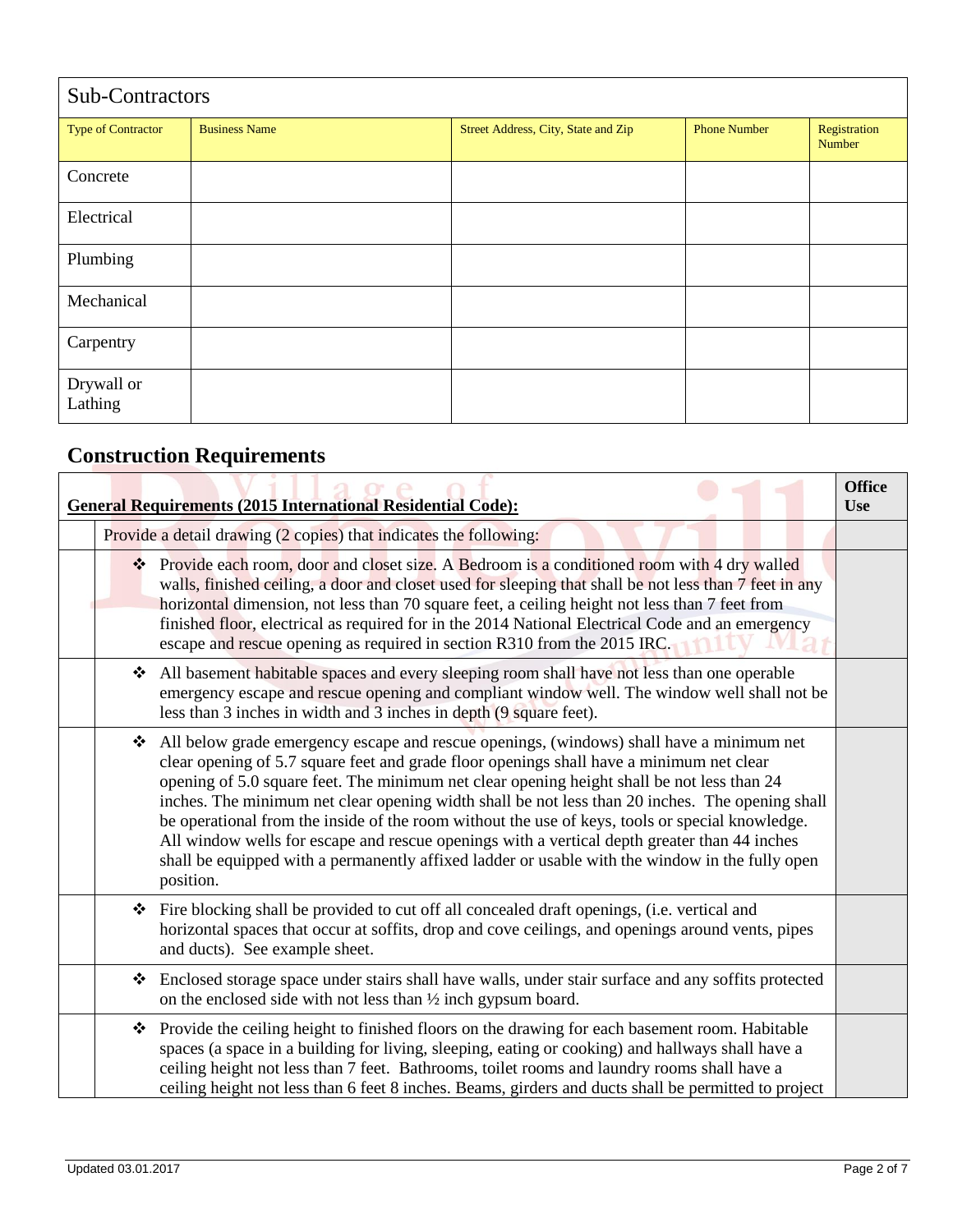| Sub-Contractors           |                      |                                     |                     |                        |
|---------------------------|----------------------|-------------------------------------|---------------------|------------------------|
| <b>Type of Contractor</b> | <b>Business Name</b> | Street Address, City, State and Zip | <b>Phone Number</b> | Registration<br>Number |
| Concrete                  |                      |                                     |                     |                        |
| Electrical                |                      |                                     |                     |                        |
| Plumbing                  |                      |                                     |                     |                        |
| Mechanical                |                      |                                     |                     |                        |
| Carpentry                 |                      |                                     |                     |                        |
| Drywall or<br>Lathing     |                      |                                     |                     |                        |

## **Construction Requirements**

| <b>General Requirements (2015 International Residential Code):</b> |   |                                                                                                                                                                                                                                                                                                                                                                                                                                                                                                                                                                                                                                                                                                          | <b>Office</b><br><b>Use</b> |
|--------------------------------------------------------------------|---|----------------------------------------------------------------------------------------------------------------------------------------------------------------------------------------------------------------------------------------------------------------------------------------------------------------------------------------------------------------------------------------------------------------------------------------------------------------------------------------------------------------------------------------------------------------------------------------------------------------------------------------------------------------------------------------------------------|-----------------------------|
|                                                                    |   | Provide a detail drawing (2 copies) that indicates the following:                                                                                                                                                                                                                                                                                                                                                                                                                                                                                                                                                                                                                                        |                             |
|                                                                    |   | ❖ Provide each room, door and closet size. A Bedroom is a conditioned room with 4 dry walled<br>walls, finished ceiling, a door and closet used for sleeping that shall be not less than 7 feet in any<br>horizontal dimension, not less than 70 square feet, a ceiling height not less than 7 feet from<br>finished floor, electrical as required for in the 2014 National Electrical Code and an emergency<br>escape and rescue opening as required in section R310 from the 2015 IRC.                                                                                                                                                                                                                 |                             |
|                                                                    | ❖ | All basement habitable spaces and every sleeping room shall have not less than one operable<br>emergency escape and rescue opening and compliant window well. The window well shall not be<br>less than 3 inches in width and 3 inches in depth (9 square feet).                                                                                                                                                                                                                                                                                                                                                                                                                                         |                             |
|                                                                    | ❖ | All below grade emergency escape and rescue openings, (windows) shall have a minimum net<br>clear opening of 5.7 square feet and grade floor openings shall have a minimum net clear<br>opening of 5.0 square feet. The minimum net clear opening height shall be not less than 24<br>inches. The minimum net clear opening width shall be not less than 20 inches. The opening shall<br>be operational from the inside of the room without the use of keys, tools or special knowledge.<br>All window wells for escape and rescue openings with a vertical depth greater than 44 inches<br>shall be equipped with a permanently affixed ladder or usable with the window in the fully open<br>position. |                             |
|                                                                    | ❖ | Fire blocking shall be provided to cut off all concealed draft openings, (i.e. vertical and<br>horizontal spaces that occur at soffits, drop and cove ceilings, and openings around vents, pipes<br>and ducts). See example sheet.                                                                                                                                                                                                                                                                                                                                                                                                                                                                       |                             |
|                                                                    | ❖ | Enclosed storage space under stairs shall have walls, under stair surface and any soffits protected<br>on the enclosed side with not less than $\frac{1}{2}$ inch gypsum board.                                                                                                                                                                                                                                                                                                                                                                                                                                                                                                                          |                             |
|                                                                    | ❖ | Provide the ceiling height to finished floors on the drawing for each basement room. Habitable<br>spaces (a space in a building for living, sleeping, eating or cooking) and hallways shall have a<br>ceiling height not less than 7 feet. Bathrooms, toilet rooms and laundry rooms shall have a<br>ceiling height not less than 6 feet 8 inches. Beams, girders and ducts shall be permitted to project                                                                                                                                                                                                                                                                                                |                             |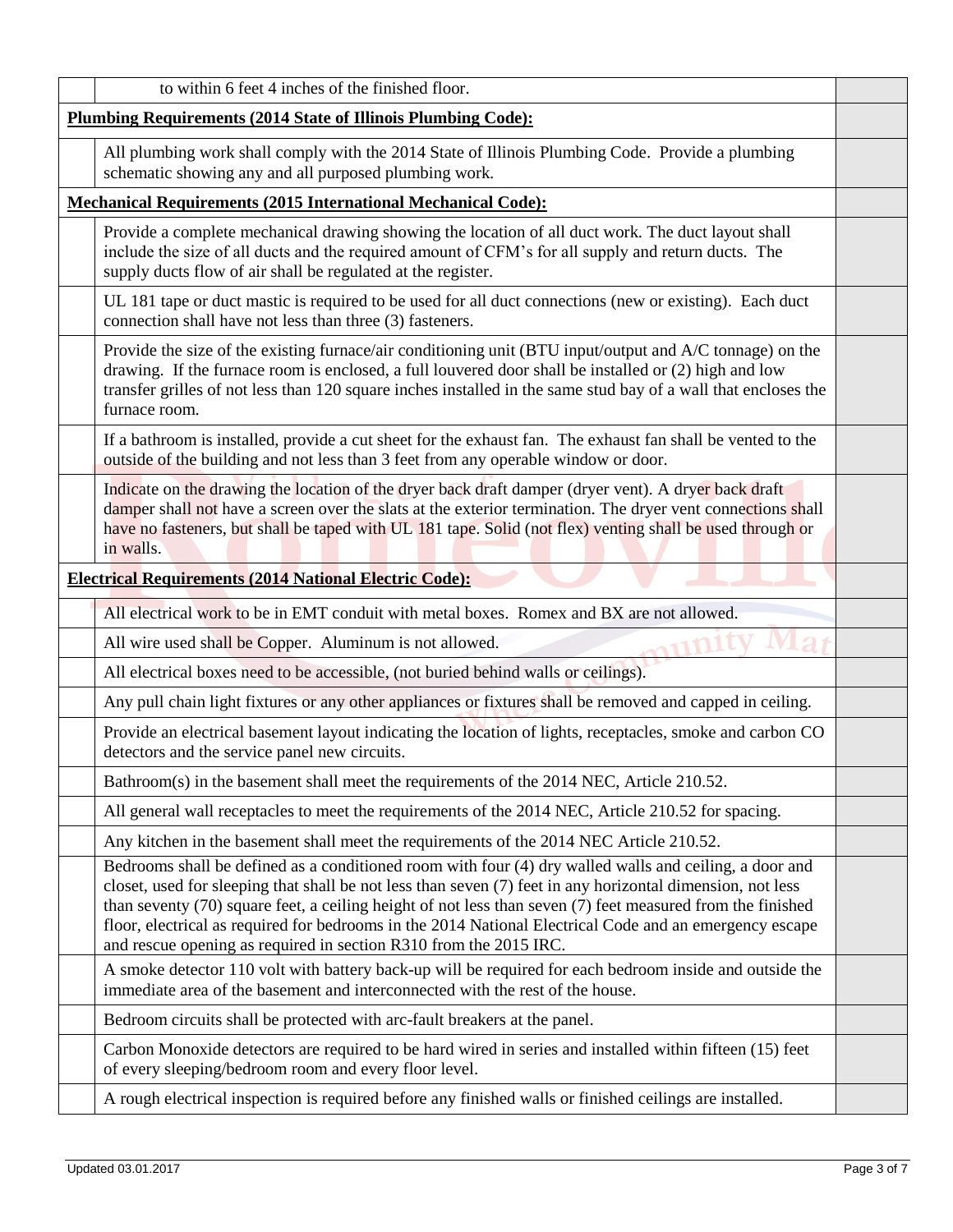| to within 6 feet 4 inches of the finished floor.                                                                                                                                                                                                                                                                                                                                                                                                                                                                   |  |
|--------------------------------------------------------------------------------------------------------------------------------------------------------------------------------------------------------------------------------------------------------------------------------------------------------------------------------------------------------------------------------------------------------------------------------------------------------------------------------------------------------------------|--|
| <b>Plumbing Requirements (2014 State of Illinois Plumbing Code):</b>                                                                                                                                                                                                                                                                                                                                                                                                                                               |  |
| All plumbing work shall comply with the 2014 State of Illinois Plumbing Code. Provide a plumbing<br>schematic showing any and all purposed plumbing work.                                                                                                                                                                                                                                                                                                                                                          |  |
| <b>Mechanical Requirements (2015 International Mechanical Code):</b>                                                                                                                                                                                                                                                                                                                                                                                                                                               |  |
| Provide a complete mechanical drawing showing the location of all duct work. The duct layout shall<br>include the size of all ducts and the required amount of CFM's for all supply and return ducts. The<br>supply ducts flow of air shall be regulated at the register.                                                                                                                                                                                                                                          |  |
| UL 181 tape or duct mastic is required to be used for all duct connections (new or existing). Each duct<br>connection shall have not less than three (3) fasteners.                                                                                                                                                                                                                                                                                                                                                |  |
| Provide the size of the existing furnace/air conditioning unit (BTU input/output and A/C tonnage) on the<br>drawing. If the furnace room is enclosed, a full louvered door shall be installed or (2) high and low<br>transfer grilles of not less than 120 square inches installed in the same stud bay of a wall that encloses the<br>furnace room.                                                                                                                                                               |  |
| If a bathroom is installed, provide a cut sheet for the exhaust fan. The exhaust fan shall be vented to the<br>outside of the building and not less than 3 feet from any operable window or door.                                                                                                                                                                                                                                                                                                                  |  |
| Indicate on the drawing the location of the dryer back draft damper (dryer vent). A dryer back draft<br>damper shall not have a screen over the slats at the exterior termination. The dryer vent connections shall<br>have no fasteners, but shall be taped with UL 181 tape. Solid (not flex) venting shall be used through or<br>in walls.                                                                                                                                                                      |  |
| <b>Electrical Requirements (2014 National Electric Code):</b>                                                                                                                                                                                                                                                                                                                                                                                                                                                      |  |
| All electrical work to be in EMT conduit with metal boxes. Romex and BX are not allowed.                                                                                                                                                                                                                                                                                                                                                                                                                           |  |
| All wire used shall be Copper. Aluminum is not allowed.                                                                                                                                                                                                                                                                                                                                                                                                                                                            |  |
| All electrical boxes need to be accessible, (not buried behind walls or ceilings).                                                                                                                                                                                                                                                                                                                                                                                                                                 |  |
| Any pull chain light fixtures or any other appliances or fixtures shall be removed and capped in ceiling.                                                                                                                                                                                                                                                                                                                                                                                                          |  |
| Provide an electrical basement layout indicating the location of lights, receptacles, smoke and carbon CO<br>detectors and the service panel new circuits.                                                                                                                                                                                                                                                                                                                                                         |  |
| Bathroom(s) in the basement shall meet the requirements of the 2014 NEC, Article 210.52.                                                                                                                                                                                                                                                                                                                                                                                                                           |  |
| All general wall receptacles to meet the requirements of the 2014 NEC, Article 210.52 for spacing.                                                                                                                                                                                                                                                                                                                                                                                                                 |  |
| Any kitchen in the basement shall meet the requirements of the 2014 NEC Article 210.52.                                                                                                                                                                                                                                                                                                                                                                                                                            |  |
| Bedrooms shall be defined as a conditioned room with four (4) dry walled walls and ceiling, a door and<br>closet, used for sleeping that shall be not less than seven (7) feet in any horizontal dimension, not less<br>than seventy (70) square feet, a ceiling height of not less than seven (7) feet measured from the finished<br>floor, electrical as required for bedrooms in the 2014 National Electrical Code and an emergency escape<br>and rescue opening as required in section R310 from the 2015 IRC. |  |
| A smoke detector 110 volt with battery back-up will be required for each bedroom inside and outside the<br>immediate area of the basement and interconnected with the rest of the house.                                                                                                                                                                                                                                                                                                                           |  |
| Bedroom circuits shall be protected with arc-fault breakers at the panel.                                                                                                                                                                                                                                                                                                                                                                                                                                          |  |
| Carbon Monoxide detectors are required to be hard wired in series and installed within fifteen (15) feet<br>of every sleeping/bedroom room and every floor level.                                                                                                                                                                                                                                                                                                                                                  |  |
| A rough electrical inspection is required before any finished walls or finished ceilings are installed.                                                                                                                                                                                                                                                                                                                                                                                                            |  |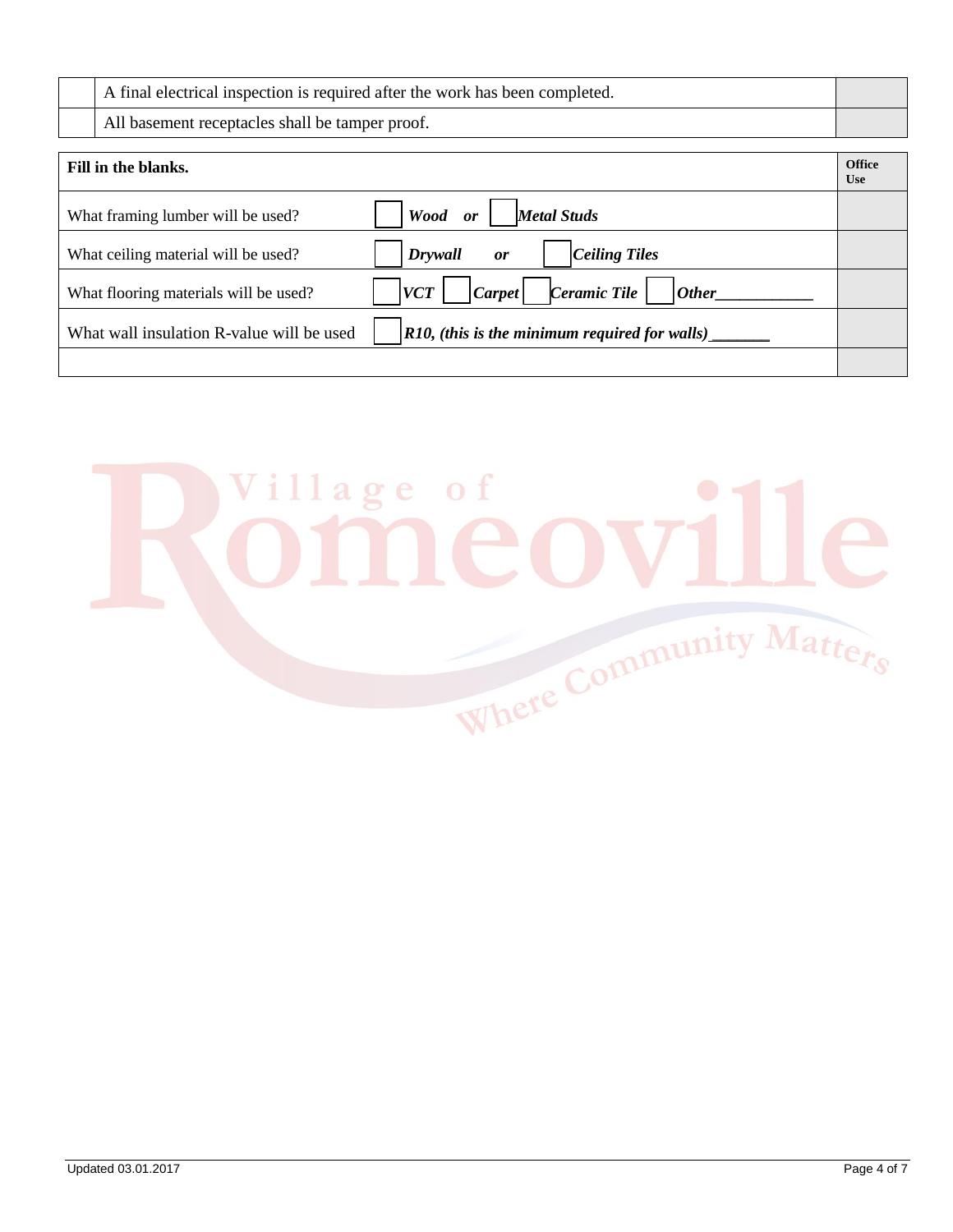| A final electrical inspection is required after the work has been completed. |  |
|------------------------------------------------------------------------------|--|
| All basement receptacles shall be tamper proof.                              |  |

| Fill in the blanks.                       |                                                                           | <b>Office</b><br><b>Use</b> |
|-------------------------------------------|---------------------------------------------------------------------------|-----------------------------|
| What framing lumber will be used?         | Wood<br><b>Metal Studs</b><br>or                                          |                             |
| What ceiling material will be used?       | Ceiling Tiles<br>Drywall<br><b>or</b>                                     |                             |
| What flooring materials will be used?     | Ceramic Tile<br>$\vert \textit{Carpet} \vert$<br>  <i>Other</i>  <br> VCT |                             |
| What wall insulation R-value will be used | $R10$ , (this is the minimum required for walls)                          |                             |
|                                           |                                                                           |                             |

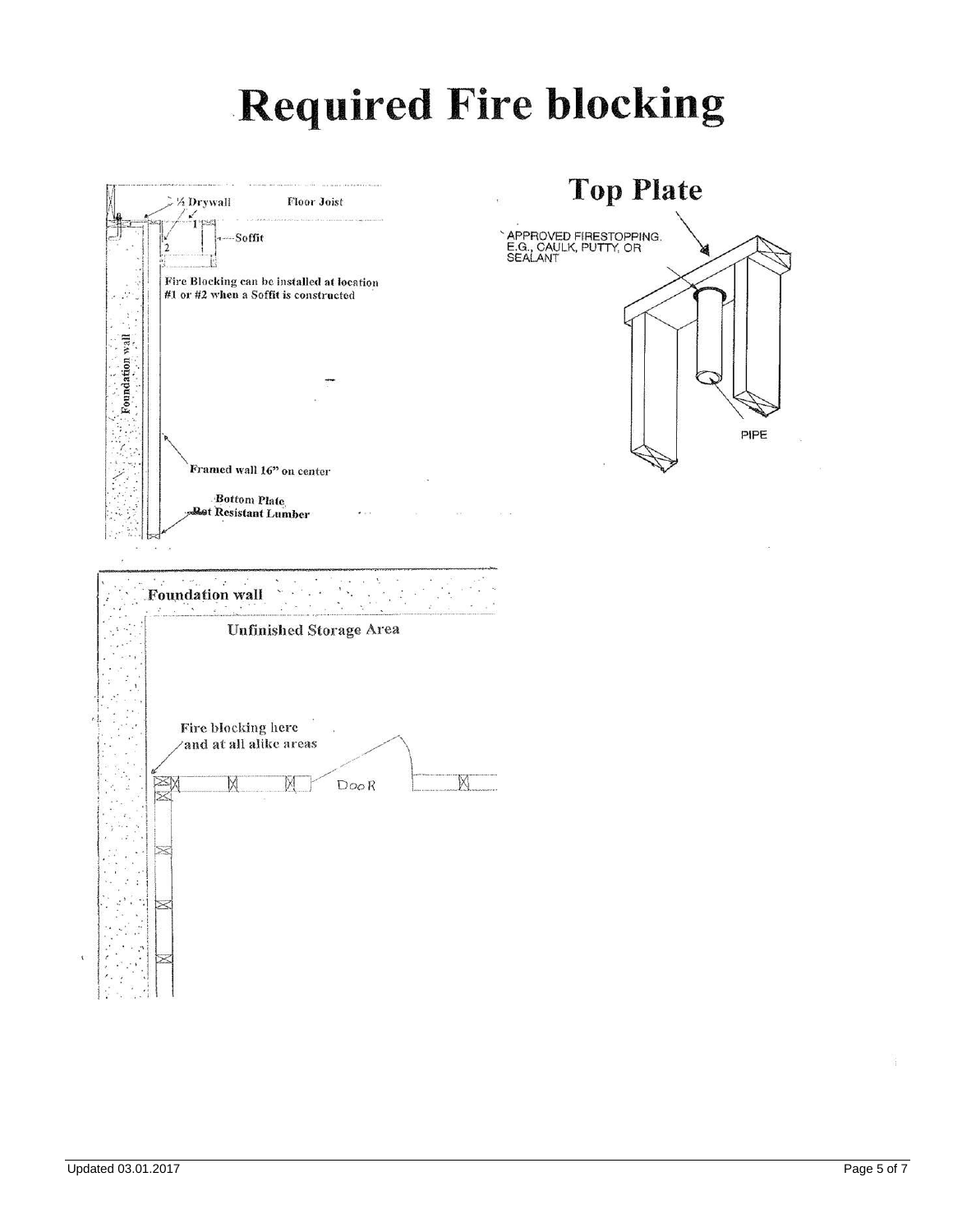## **Required Fire blocking**

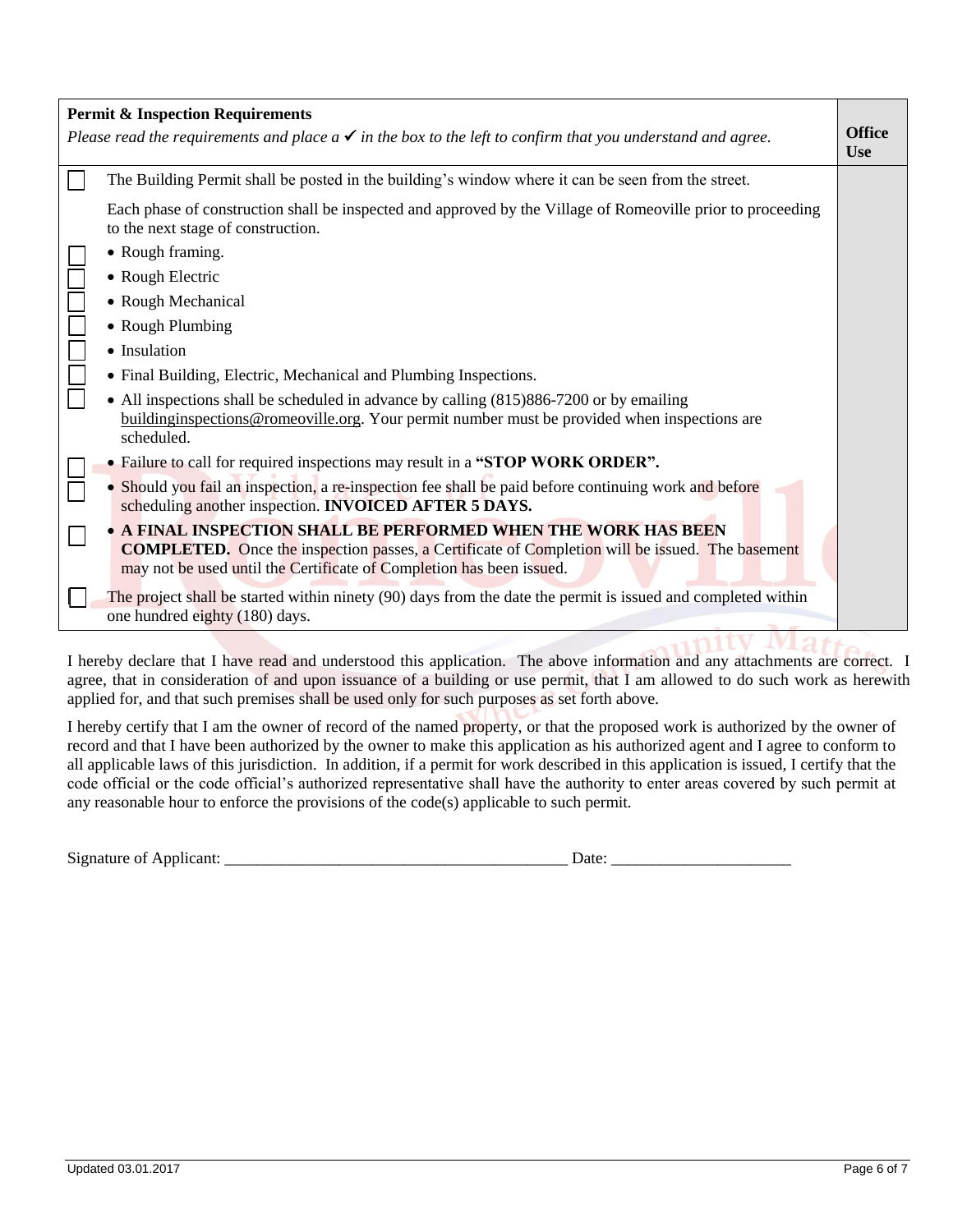| <b>Permit &amp; Inspection Requirements</b> |                                                                                                                                                                                                                                                  |                             |
|---------------------------------------------|--------------------------------------------------------------------------------------------------------------------------------------------------------------------------------------------------------------------------------------------------|-----------------------------|
|                                             | Please read the requirements and place $a \checkmark$ in the box to the left to confirm that you understand and agree.                                                                                                                           | <b>Office</b><br><b>Use</b> |
|                                             | The Building Permit shall be posted in the building's window where it can be seen from the street.                                                                                                                                               |                             |
|                                             | Each phase of construction shall be inspected and approved by the Village of Romeoville prior to proceeding<br>to the next stage of construction.                                                                                                |                             |
|                                             | • Rough framing.                                                                                                                                                                                                                                 |                             |
|                                             | • Rough Electric                                                                                                                                                                                                                                 |                             |
|                                             | • Rough Mechanical                                                                                                                                                                                                                               |                             |
|                                             | • Rough Plumbing                                                                                                                                                                                                                                 |                             |
|                                             | • Insulation                                                                                                                                                                                                                                     |                             |
|                                             | • Final Building, Electric, Mechanical and Plumbing Inspections.                                                                                                                                                                                 |                             |
|                                             | • All inspections shall be scheduled in advance by calling (815)886-7200 or by emailing<br>building inspections @ romeoville.org. Your permit number must be provided when inspections are<br>scheduled.                                         |                             |
|                                             | • Failure to call for required inspections may result in a "STOP WORK ORDER".                                                                                                                                                                    |                             |
|                                             | • Should you fail an inspection, a re-inspection fee shall be paid before continuing work and before<br>scheduling another inspection. INVOICED AFTER 5 DAYS.                                                                                    |                             |
|                                             | • A FINAL INSPECTION SHALL BE PERFORMED WHEN THE WORK HAS BEEN<br><b>COMPLETED.</b> Once the inspection passes, a Certificate of Completion will be issued. The basement<br>may not be used until the Certificate of Completion has been issued. |                             |
|                                             | The project shall be started within ninety (90) days from the date the permit is issued and completed within<br>one hundred eighty (180) days.                                                                                                   |                             |
|                                             |                                                                                                                                                                                                                                                  |                             |

I hereby declare that I have read and understood this application. The above information and any attachments are correct. I agree, that in consideration of and upon issuance of a building or use permit, that I am allowed to do such work as herewith applied for, and that such premises shall be used only for such purposes as set forth above.

I hereby certify that I am the owner of record of the named property, or that the proposed work is authorized by the owner of record and that I have been authorized by the owner to make this application as his authorized agent and I agree to conform to all applicable laws of this jurisdiction. In addition, if a permit for work described in this application is issued, I certify that the code official or the code official's authorized representative shall have the authority to enter areas covered by such permit at any reasonable hour to enforce the provisions of the code(s) applicable to such permit.

| Signature of |      |
|--------------|------|
| Applicant:   | Jate |
|              |      |